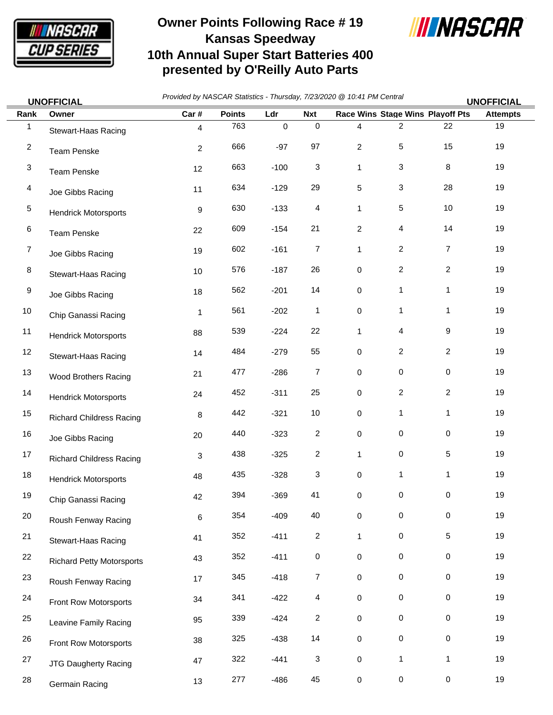

## **Owner Points Following Race # 19 Kansas Speedway 10th Annual Super Start Batteries 400 presented by O'Reilly Auto Parts**



*Provided by NASCAR Statistics - Thursday, 7/23/2020 @ 10:41 PM Central* **UNOFFICIAL UNOFFICIAL**

| Rank             | Owner                            | Car#           | <b>Points</b> | Ldr       | <b>Nxt</b>      |                     | Race Wins Stage Wins Playoff Pts |                | <b>Attempts</b> |
|------------------|----------------------------------|----------------|---------------|-----------|-----------------|---------------------|----------------------------------|----------------|-----------------|
| $\mathbf{1}$     | Stewart-Haas Racing              | $\overline{4}$ | 763           | $\pmb{0}$ | $\mathbf 0$     | $\overline{4}$      | $\overline{\mathbf{c}}$          | 22             | 19              |
| $\boldsymbol{2}$ | <b>Team Penske</b>               | 2              | 666           | $-97$     | 97              | $\overline{c}$      | 5                                | 15             | 19              |
| 3                | <b>Team Penske</b>               | 12             | 663           | $-100$    | $\mathbf{3}$    | $\mathbf{1}$        | 3                                | 8              | 19              |
| 4                | Joe Gibbs Racing                 | 11             | 634           | $-129$    | 29              | 5                   | 3                                | 28             | 19              |
| $\,$ 5 $\,$      | <b>Hendrick Motorsports</b>      | 9              | 630           | $-133$    | 4               | $\mathbf{1}$        | $\,$ 5 $\,$                      | 10             | 19              |
| 6                | <b>Team Penske</b>               | 22             | 609           | $-154$    | 21              | $\overline{c}$      | 4                                | 14             | 19              |
| $\overline{7}$   | Joe Gibbs Racing                 | 19             | 602           | $-161$    | $\overline{7}$  | $\mathbf{1}$        | $\overline{c}$                   | $\overline{7}$ | 19              |
| 8                | Stewart-Haas Racing              | 10             | 576           | $-187$    | 26              | 0                   | $\overline{c}$                   | $\overline{c}$ | 19              |
| 9                | Joe Gibbs Racing                 | 18             | 562           | $-201$    | 14              | $\mathbf 0$         | $\mathbf{1}$                     | $\mathbf{1}$   | 19              |
| $10$             | Chip Ganassi Racing              | 1              | 561           | $-202$    | $\mathbf{1}$    | 0                   | $\mathbf{1}$                     | 1              | 19              |
| 11               | <b>Hendrick Motorsports</b>      | 88             | 539           | $-224$    | 22              | $\mathbf{1}$        | 4                                | 9              | 19              |
| 12               | Stewart-Haas Racing              | 14             | 484           | $-279$    | 55              | $\pmb{0}$           | $\overline{c}$                   | $\overline{c}$ | 19              |
| 13               | Wood Brothers Racing             | 21             | 477           | $-286$    | $\overline{7}$  | $\mathsf{O}\xspace$ | $\mathbf 0$                      | 0              | 19              |
| 14               | <b>Hendrick Motorsports</b>      | 24             | 452           | $-311$    | 25              | $\mathsf{O}\xspace$ | $\overline{c}$                   | $\overline{2}$ | 19              |
| 15               | <b>Richard Childress Racing</b>  | 8              | 442           | $-321$    | 10 <sup>1</sup> | $\mathsf{O}\xspace$ | 1                                | 1              | 19              |
| 16               | Joe Gibbs Racing                 | 20             | 440           | $-323$    | $\overline{a}$  | $\mathbf 0$         | $\mathbf 0$                      | $\mathbf 0$    | 19              |
| 17               | <b>Richard Childress Racing</b>  | 3              | 438           | $-325$    | $\overline{a}$  | $\mathbf{1}$        | $\,0\,$                          | 5              | 19              |
| 18               | <b>Hendrick Motorsports</b>      | 48             | 435           | $-328$    | 3               | $\mathbf 0$         | $\mathbf{1}$                     | 1              | 19              |
| 19               | Chip Ganassi Racing              | 42             | 394           | $-369$    | 41              | 0                   | $\,0\,$                          | 0              | 19              |
| $20\,$           | Roush Fenway Racing              | 6              | 354           | $-409$    | 40              | $\pmb{0}$           | 0                                | 0              | 19              |
| 21               | Stewart-Haas Racing              | 41             | 352           | $-411$    | $\sqrt{2}$      | $\mathbf{1}$        | $\mathbf 0$                      | $\mathbf 5$    | 19              |
| 22               | <b>Richard Petty Motorsports</b> | 43             | 352           | $-411$    | $\pmb{0}$       | 0                   | 0                                | 0              | 19              |
| 23               | Roush Fenway Racing              | 17             | 345           | $-418$    | $\overline{7}$  | $\pmb{0}$           | 0                                | 0              | 19              |
| 24               | Front Row Motorsports            | 34             | 341           | $-422$    | $\overline{4}$  | $\pmb{0}$           | 0                                | 0              | 19              |
| 25               | Leavine Family Racing            | 95             | 339           | $-424$    | $\overline{a}$  | $\mathbf 0$         | $\pmb{0}$                        | $\mathsf 0$    | 19              |
| 26               | Front Row Motorsports            | 38             | 325           | $-438$    | 14              | $\mathbf 0$         | $\pmb{0}$                        | $\mathbf 0$    | 19              |
| 27               | JTG Daugherty Racing             | 47             | 322           | $-441$    | $\mathbf{3}$    | $\mathbf 0$         | $\mathbf{1}$                     | $\mathbf{1}$   | 19              |
| 28               | Germain Racing                   | 13             | 277           | $-486$    | 45              | $\mathbf 0$         | $\mathbf 0$                      | 0              | 19              |